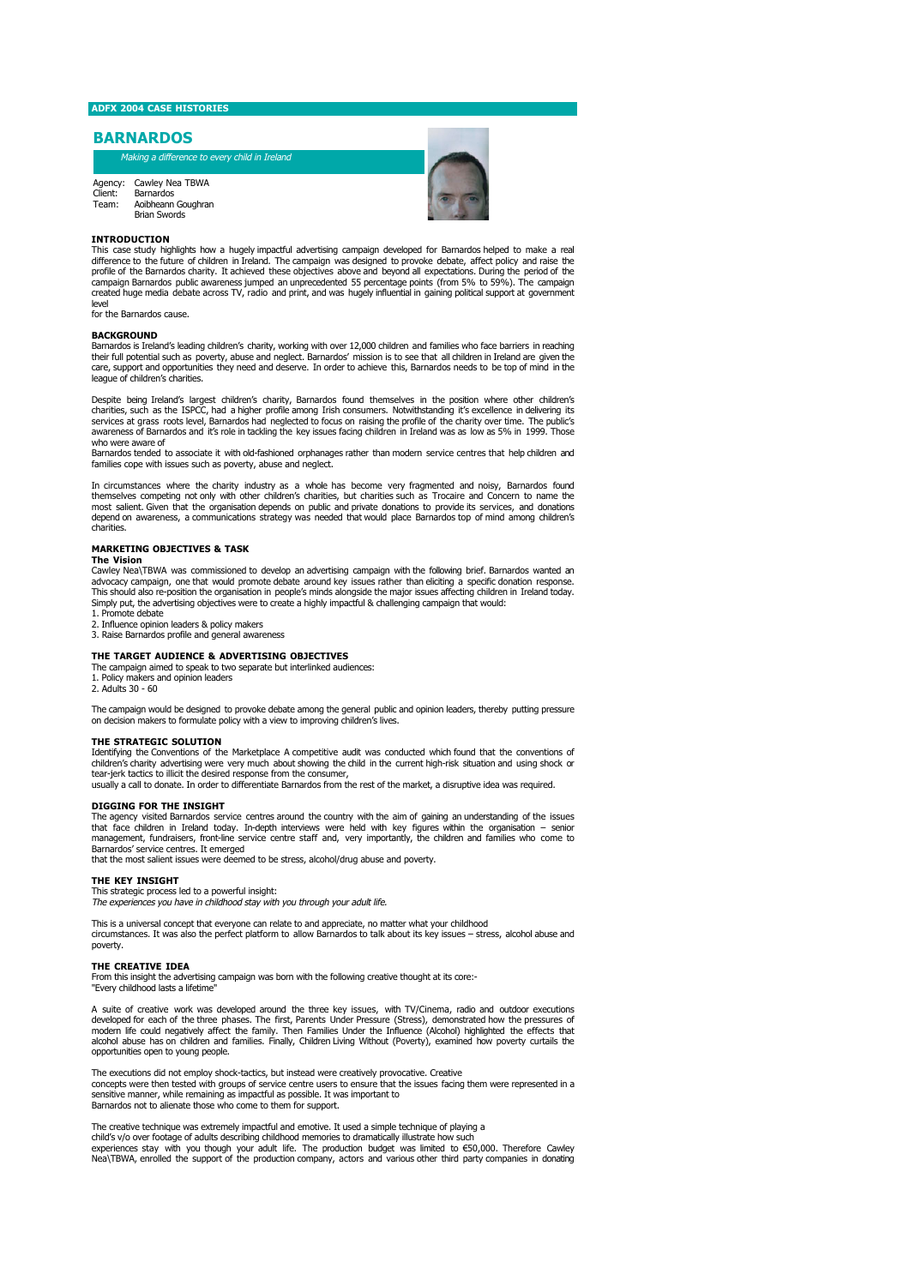# **ADFX 2004 CASE HISTORIES**

## **BARNARDOS**

Making a difference to every child in Ireland

Agency: Client: Team: Cawley Nea TBWA Barnardos Aoibheann Goughran Brian Swords



#### **INTRODUCTION**

This case study highlights how a hugely impactful advertising campaign developed for Barnardos helped to make a real difference to the future of children in Ireland. The campaign was designed to provoke debate, affect policy and raise the<br>profile of the Barnardos charity. It achieved these objectives above and beyond all expectations. Du campaign Barnardos public awareness jumped an unprecedented 55 percentage points (from 5% to 59%). The campaign created huge media debate across TV, radio and print, and was hugely influential in gaining political support at government

level for the Barnardos cause.

### **BACKGROUND**

Barnardos is Ireland's leading children's charity, working with over 12,000 children and families who face barriers in reaching their full potential such as poverty, abuse and neglect. Barnardos' mission is to see that all children in Ireland are given the care, support and opportunities they need and deserve. In order to achieve this, Barnardos needs to be top of mind in the league of children's charities.

Despite being Ireland's largest children's charity, Barnardos found themselves in the position where other children's<br>charities, such as the ISPCC, had a higher profile among Irish consumers. Notwithstanding it's excellenc awareness of Barnardos and it's role in tackling the key issues facing children in Ireland was as low as 5% in 1999. Those who were aware of

Barnardos tended to associate it with old-fashioned orphanages rather than modern service centres that help children and families cope with issues such as poverty, abuse and neglect.

In circumstances where the charity industry as a whole has become very fragmented and noisy, Barnardos found themselves competing not only with other children's charities, but charities such as Trocaire and Concern to name the<br>most salient. Given that the organisation depends on public and private donations to provide its service depend on awareness, a communications strategy was needed that would place Barnardos top of mind among children's charities.

## **MARKETING OBJECTIVES & TASK**

**The Vision**<br>Cawley Nea\TBWA was commissioned to develop an advertising campaign with the following brief. Barnardos wanted an<br>advocacy campaign, one that would promote debate around key issues rather than eliciting a spec Example and organisation the organisation in people's minds alongside the major issues affecting a specific donation response.<br>This should also re-position the organisation in people's minds alongside the major issues affe Simply put, the advertising objectives were to create a highly impactful & challenging campaign that would:

1. Promote debate

2. Influence opinion leaders & policy makers 3. Raise Barnardos profile and general awareness

### **THE TARGET AUDIENCE & ADVERTISING OBJECTIVES**

The campaign aimed to speak to two separate but interlinked audiences: 1. Policy makers and opinion leaders

2. Adults 30 - 60

The campaign would be designed to provoke debate among the general public and opinion leaders, thereby putting pressure<br>on decision makers to formulate policy with a view to improving children's lives.

## **THE STRATEGIC SOLUTION**

Identifying the Conventions of the Marketplace A competitive audit was conducted which found that the conventions of<br>children's charity advertising were very much about showing the child in the current high-risk situation tear-jerk tactics to illicit the desired response from the consumer, usually a call to donate. In order to differentiate Barnardos from the rest of the market, a disruptive idea was required.

### **DIGGING FOR THE INSIGHT**

The agency visited Barnardos service centres around the country with the aim of gaining an understanding of the issues<br>that face children in Ireland today. In-depth interviews were held with key figures within the organisa management, fundraisers, front-line service centre staff and, very importantly, the children and families who come to Barnardos' service centres. It emerged

that the most salient issues were deemed to be stress, alcohol/drug abuse and poverty.

## **THE KEY INSIGHT**

This strategic process led to a powerful insight: The experiences you have in childhood stay with you through your adult life.

This is a universal concept that everyone can relate to and appreciate, no matter what your childhood<br>circumstances. It was also the perfect platform to allow Barnardos to talk about its key issues – stress, alcohol abuse poverty.

#### **THE CREATIVE IDEA**

From this insight the advertising campaign was born with the following creative thought at its core:- "Every childhood lasts a lifetime

A suite of creative work was developed around the three key issues, with TV/Cinema, radio and outdoor executions developed for each of the three phases. The first, Parents Under Pressure (Stress), demonstrated how the pressures of<br>modern life could negatively affect the family. Then Families Under the Influence (Alcohol) highlighted opportunities open to young people.

The executions did not employ shock-tactics, but instead were creatively provocative. Creative concepts were then tested with groups of service centre users to ensure that the issues facing them were represented in a sensitive manner, while remaining as impactful as possible. It was important to Barnardos not to alienate those who come to them for support.

The creative technique was extremely impactful and emotive. It used a simple technique of playing a child's v/o over footage of adults describing childhood memories to dramatically illustrate how such<br>experiences stay with you though your adult life. The production budget was limited to €50,000. Therefore Cawley<br>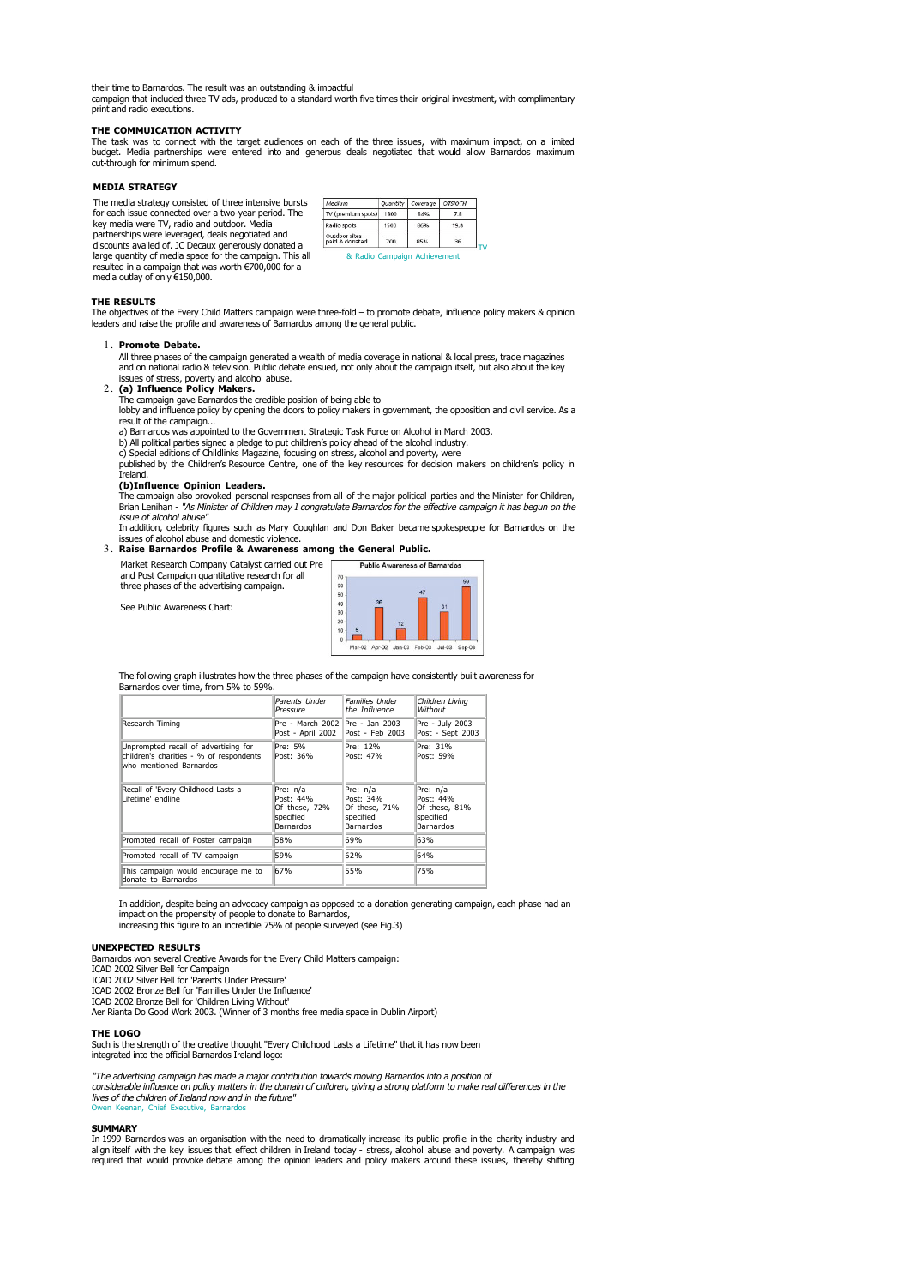their time to Barnardos. The result was an outstanding & impactful campaign that included three TV ads, produced to a standard worth five times their original investment, with complimentary print and radio executions.

#### **THE COMMUICATION ACTIVITY**

The task was to connect with the target audiences on each of the three issues, with maximum impact, on a limited budget. Media partnerships were entered into and generous deals negotiated that would allow Barnardos maximum cut-through for minimum spend.

## **MEDIA STRATEGY**

The media strategy consisted of three intensive bursts for each issue connected over a two-year period. The key media were TV, radio and outdoor. Media partnerships were leveraged, deals negotiated and discounts availed of. JC Decaux generously donated a large quantity of media space for the campaign. This all resulted in a campaign that was worth €700,000 for a media outlay of only €150,000.

| Medium                          | Quantity | Coverage | <b>OTSIOTH</b> |
|---------------------------------|----------|----------|----------------|
| TV (premium spots)              | 1800     | 84%      | 7.8            |
| Radio spots                     | 1500     | 86%      | 19.8           |
| Outdoor sites<br>paid & donated | 700      | 85%      | 36             |

#### **THE RESULTS**

The objectives of the Every Child Matters campaign were three-fold – to promote debate, influence policy makers & opinion<br>leaders and raise the profile and awareness of Barnardos among the general public.

#### **Promote Debate.**  1.

All three phases of the campaign generated a wealth of media coverage in national & local press, trade magazines<br>and on national radio & television. Public debate ensued, not only about the campaign itself, but also about

**(a) Influence Policy Makers.** The campaign gave Barnardos the credible position of being able to 2.

lobby and influence policy by opening the doors to policy makers in government, the opposition and civil service. As a result of the campaign...

- a) Barnardos was appointed to the Government Strategic Task Force on Alcohol in March 2003. b) All political parties signed a pledge to put children's policy ahead of the alcohol industry.
- 

c) Special editions of Childlinks Magazine, focusing on stress, alcohol and poverty, were published by the Children's Resource Centre, one of the key resources for decision makers on children's policy in Ireland.

## **(b)Influence Opinion Leaders.**

The campaign also provoked personal responses from all of the major political parties and the Minister for Children,<br>Brian Lenihan - "As Minister of Children may I congratulate Barnardos for the effective campaign it has b issue of alcohol abuse"

In addition, celebrity figures such as Mary Coughlan and Don Baker became spokespeople for Barnardos on the issues of alcohol abuse and domestic violence.

#### **Raise Barnardos Profile & Awareness among the General Public.** 3.



See Public Awareness Chart:

three phases of the advertising campaign.

The following graph illustrates how the three phases of the campaign have consistently built awareness for Barnardos over time, from 5% to 59%.

|                                                                                                            | Parents Under<br>Pressure                                               | <b>Families Under</b><br>the Influence                           | Children Livina<br>Without                                       |
|------------------------------------------------------------------------------------------------------------|-------------------------------------------------------------------------|------------------------------------------------------------------|------------------------------------------------------------------|
| Research Timing                                                                                            | Pre - March 2002<br>Post - April 2002                                   | Pre - Jan 2003<br>Post - Feb 2003                                | Pre - July 2003<br>Post - Sept 2003                              |
| Unprompted recall of advertising for<br>children's charities - % of respondents<br>who mentioned Barnardos | Pre: 5%<br>Post: 36%                                                    | Pre: 12%<br>Post: 47%                                            | Pre: 31%<br>Post: 59%                                            |
| Recall of 'Every Childhood Lasts a<br>Lifetime' endline                                                    | Pre: n/a<br>Post: 44%<br>Of these, 72%<br>specified<br><b>Barnardos</b> | Pre: n/a<br>Post: 34%<br>Of these, 71%<br>specified<br>Barnardos | Pre: n/a<br>Post: 44%<br>Of these, 81%<br>specified<br>Barnardos |
| Prompted recall of Poster campaign                                                                         | 58%                                                                     | 69%                                                              | 63%                                                              |
| Prompted recall of TV campaign                                                                             | 59%                                                                     | 62%                                                              | 64%                                                              |
| This campaign would encourage me to<br>donate to Barnardos                                                 | 67%                                                                     | 55%                                                              | 75%                                                              |

In addition, despite being an advocacy campaign as opposed to a donation generating campaign, each phase had an impact on the propensity of people to donate to Barnardos, increasing this figure to an incredible 75% of people surveyed (see Fig.3)

### **UNEXPECTED RESULTS**

Barnardos won several Creative Awards for the Every Child Matters campaign: ICAD 2002 Silver Bell for Campaign

ICAD 2002 Silver Bell for 'Parents Under Pressure' ICAD 2002 Bronze Bell for 'Families Under the Influence'

ICAD 2002 Bronze Bell for 'Children Living Without' Aer Rianta Do Good Work 2003. (Winner of 3 months free media space in Dublin Airport)

#### **THE LOGO**

Such is the strength of the creative thought "Every Childhood Lasts a Lifetime" that it has now been integrated into the official Barnardos Ireland logo:

"The advertising campaign has made a major contribution towards moving Barnardos into a position of considerable influence on policy matters in the domain of children, giving a strong platform to make real differences in the<br>lives of the children of Ireland now and in the future"<br>Owen Keenan, Chief Executive, Barnardos

## **SUMMARY**

In 1999 Barnardos was an organisation with the need to dramatically increase its public profile in the charity industry and<br>align itself with the key issues that effect children in Ireland today - stress, alcohol abuse and